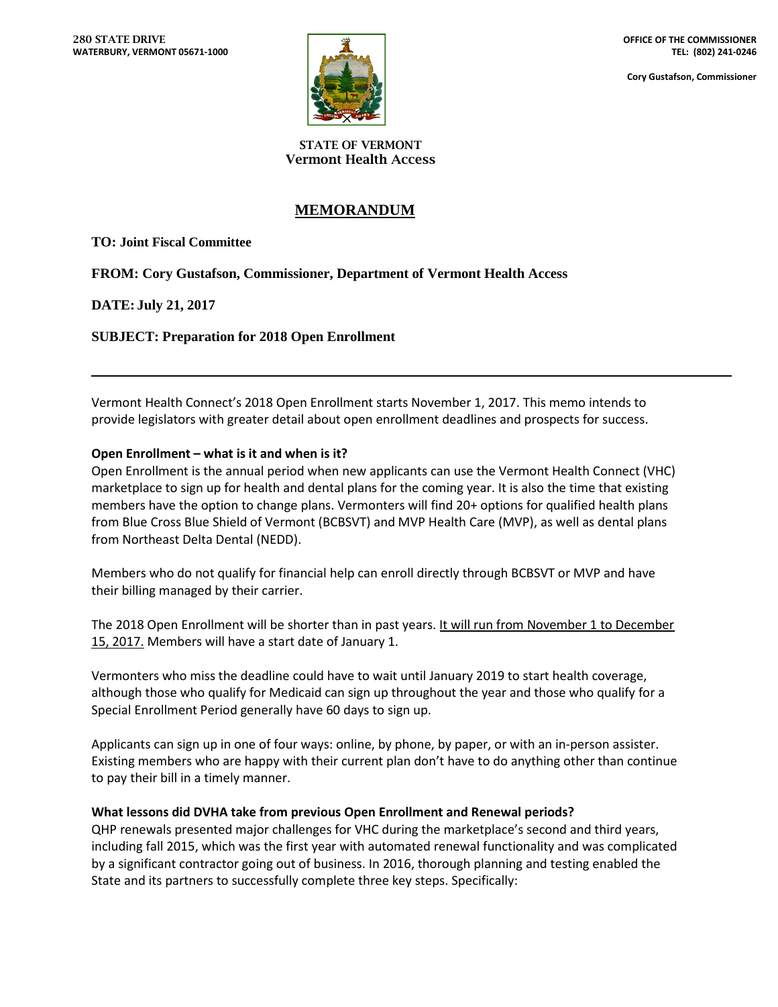

**Cory Gustafson, Commissioner**

**STATE OF VERMONT Vermont Health Access**

# **MEMORANDUM**

**TO: Joint Fiscal Committee**

**FROM: Cory Gustafson, Commissioner, Department of Vermont Health Access**

## **DATE: July 21, 2017**

## **SUBJECT: Preparation for 2018 Open Enrollment**

Vermont Health Connect's 2018 Open Enrollment starts November 1, 2017. This memo intends to provide legislators with greater detail about open enrollment deadlines and prospects for success.

### **Open Enrollment – what is it and when is it?**

Open Enrollment is the annual period when new applicants can use the Vermont Health Connect (VHC) marketplace to sign up for health and dental plans for the coming year. It is also the time that existing members have the option to change plans. Vermonters will find 20+ options for qualified health plans from Blue Cross Blue Shield of Vermont (BCBSVT) and MVP Health Care (MVP), as well as dental plans from Northeast Delta Dental (NEDD).

Members who do not qualify for financial help can enroll directly through BCBSVT or MVP and have their billing managed by their carrier.

The 2018 Open Enrollment will be shorter than in past years. It will run from November 1 to December 15, 2017. Members will have a start date of January 1.

Vermonters who miss the deadline could have to wait until January 2019 to start health coverage, although those who qualify for Medicaid can sign up throughout the year and those who qualify for a Special Enrollment Period generally have 60 days to sign up.

Applicants can sign up in one of four ways: online, by phone, by paper, or with an in-person assister. Existing members who are happy with their current plan don't have to do anything other than continue to pay their bill in a timely manner.

### **What lessons did DVHA take from previous Open Enrollment and Renewal periods?**

QHP renewals presented major challenges for VHC during the marketplace's second and third years, including fall 2015, which was the first year with automated renewal functionality and was complicated by a significant contractor going out of business. In 2016, thorough planning and testing enabled the State and its partners to successfully complete three key steps. Specifically: